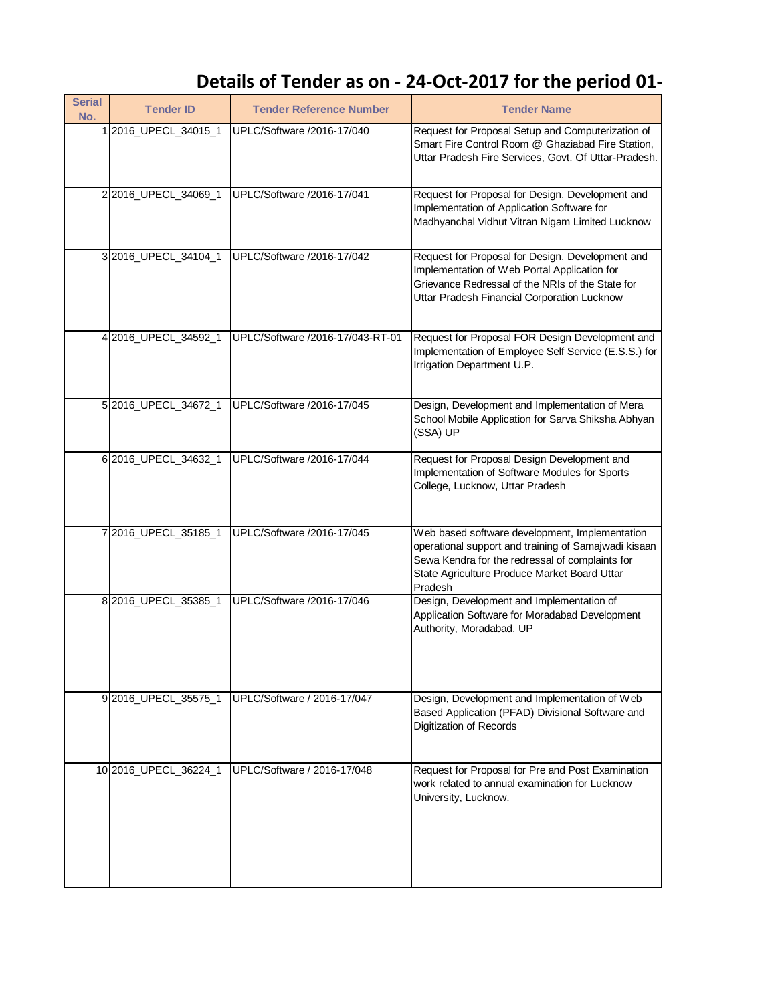## Details of Tender as on - 24-Oct-2017 for the period 01-

| <b>Serial</b><br>No. | <b>Tender ID</b>      | <b>Tender Reference Number</b>   | <b>Tender Name</b>                                                                                                                                                                                                   |
|----------------------|-----------------------|----------------------------------|----------------------------------------------------------------------------------------------------------------------------------------------------------------------------------------------------------------------|
|                      | 12016_UPECL_34015_1   | UPLC/Software /2016-17/040       | Request for Proposal Setup and Computerization of<br>Smart Fire Control Room @ Ghaziabad Fire Station,<br>Uttar Pradesh Fire Services, Govt. Of Uttar-Pradesh.                                                       |
|                      | 2 2016_UPECL_34069_1  | UPLC/Software /2016-17/041       | Request for Proposal for Design, Development and<br>Implementation of Application Software for<br>Madhyanchal Vidhut Vitran Nigam Limited Lucknow                                                                    |
|                      | 3 2016_UPECL_34104_1  | UPLC/Software /2016-17/042       | Request for Proposal for Design, Development and<br>Implementation of Web Portal Application for<br>Grievance Redressal of the NRIs of the State for<br>Uttar Pradesh Financial Corporation Lucknow                  |
|                      | 4 2016_UPECL_34592_1  | UPLC/Software /2016-17/043-RT-01 | Request for Proposal FOR Design Development and<br>Implementation of Employee Self Service (E.S.S.) for<br>Irrigation Department U.P.                                                                                |
|                      | 5 2016_UPECL_34672_1  | UPLC/Software /2016-17/045       | Design, Development and Implementation of Mera<br>School Mobile Application for Sarva Shiksha Abhyan<br>(SSA) UP                                                                                                     |
|                      | 6 2016_UPECL_34632_1  | UPLC/Software /2016-17/044       | Request for Proposal Design Development and<br>Implementation of Software Modules for Sports<br>College, Lucknow, Uttar Pradesh                                                                                      |
|                      | 7 2016_UPECL_35185_1  | UPLC/Software /2016-17/045       | Web based software development, Implementation<br>operational support and training of Samajwadi kisaan<br>Sewa Kendra for the redressal of complaints for<br>State Agriculture Produce Market Board Uttar<br>Pradesh |
|                      | 8 2016_UPECL_35385_1  | UPLC/Software /2016-17/046       | Design, Development and Implementation of<br>Application Software for Moradabad Development<br>Authority, Moradabad, UP                                                                                              |
|                      | 92016_UPECL_35575_1   | UPLC/Software / 2016-17/047      | Design, Development and Implementation of Web<br>Based Application (PFAD) Divisional Software and<br>Digitization of Records                                                                                         |
|                      | 10 2016_UPECL_36224_1 | UPLC/Software / 2016-17/048      | Request for Proposal for Pre and Post Examination<br>work related to annual examination for Lucknow<br>University, Lucknow.                                                                                          |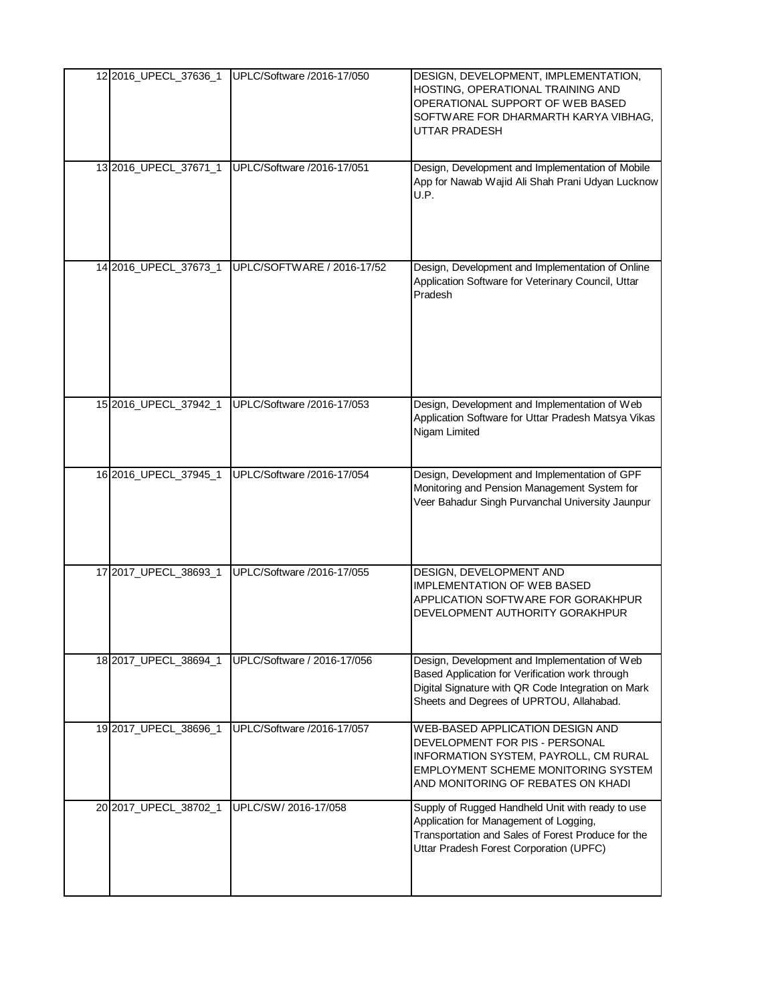| 12 2016_UPECL_37636_1 | UPLC/Software /2016-17/050  | DESIGN, DEVELOPMENT, IMPLEMENTATION,<br>HOSTING, OPERATIONAL TRAINING AND<br>OPERATIONAL SUPPORT OF WEB BASED<br>SOFTWARE FOR DHARMARTH KARYA VIBHAG,<br>UTTAR PRADESH                             |
|-----------------------|-----------------------------|----------------------------------------------------------------------------------------------------------------------------------------------------------------------------------------------------|
| 13 2016_UPECL_37671_1 | UPLC/Software /2016-17/051  | Design, Development and Implementation of Mobile<br>App for Nawab Wajid Ali Shah Prani Udyan Lucknow<br>U.P.                                                                                       |
| 14 2016_UPECL_37673_1 | UPLC/SOFTWARE / 2016-17/52  | Design, Development and Implementation of Online<br>Application Software for Veterinary Council, Uttar<br>Pradesh                                                                                  |
| 15 2016 UPECL 37942_1 | UPLC/Software /2016-17/053  | Design, Development and Implementation of Web<br>Application Software for Uttar Pradesh Matsya Vikas<br>Nigam Limited                                                                              |
| 16 2016_UPECL_37945_1 | UPLC/Software /2016-17/054  | Design, Development and Implementation of GPF<br>Monitoring and Pension Management System for<br>Veer Bahadur Singh Purvanchal University Jaunpur                                                  |
| 17 2017_UPECL_38693_1 | UPLC/Software /2016-17/055  | DESIGN, DEVELOPMENT AND<br><b>IMPLEMENTATION OF WEB BASED</b><br>APPLICATION SOFTWARE FOR GORAKHPUR<br>DEVELOPMENT AUTHORITY GORAKHPUR                                                             |
| 18 2017_UPECL_38694_1 | UPLC/Software / 2016-17/056 | Design, Development and Implementation of Web<br>Based Application for Verification work through<br>Digital Signature with QR Code Integration on Mark<br>Sheets and Degrees of UPRTOU, Allahabad. |
| 19 2017_UPECL_38696_1 | UPLC/Software /2016-17/057  | <b>WEB-BASED APPLICATION DESIGN AND</b><br>DEVELOPMENT FOR PIS - PERSONAL<br>INFORMATION SYSTEM, PAYROLL, CM RURAL<br>EMPLOYMENT SCHEME MONITORING SYSTEM<br>AND MONITORING OF REBATES ON KHADI    |
| 20 2017_UPECL_38702_1 | UPLC/SW/ 2016-17/058        | Supply of Rugged Handheld Unit with ready to use<br>Application for Management of Logging,<br>Transportation and Sales of Forest Produce for the<br>Uttar Pradesh Forest Corporation (UPFC)        |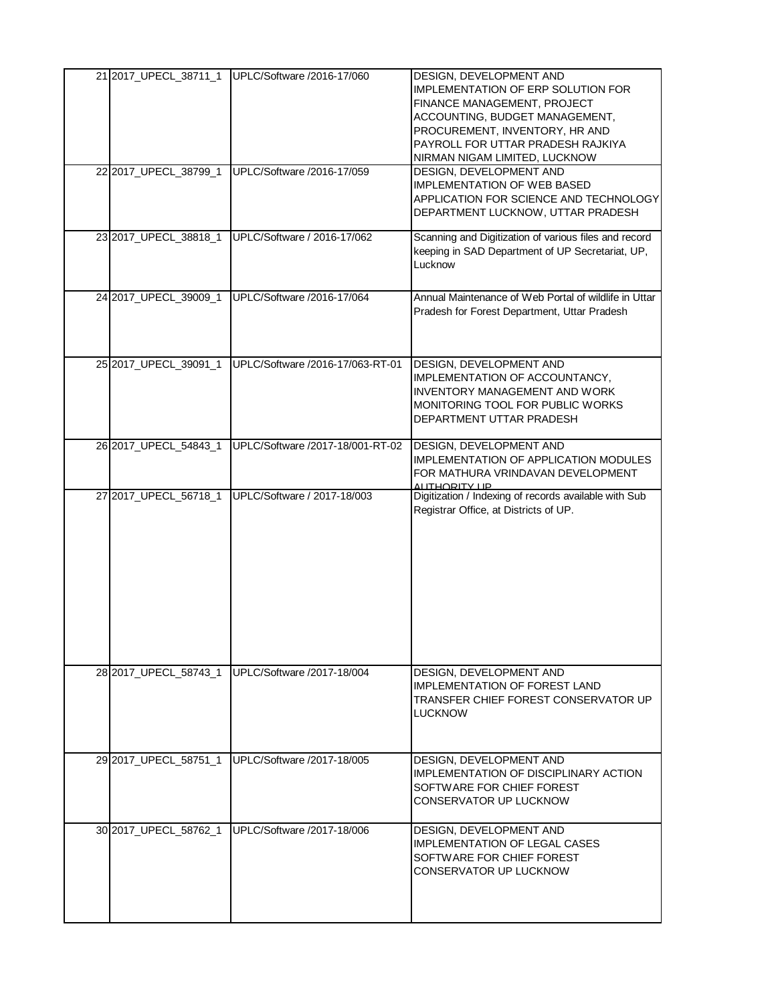|                       | 21 2017_UPECL_38711_1 UPLC/Software /2016-17/060 | DESIGN, DEVELOPMENT AND<br><b>IMPLEMENTATION OF ERP SOLUTION FOR</b><br>FINANCE MANAGEMENT, PROJECT<br>ACCOUNTING, BUDGET MANAGEMENT,<br>PROCUREMENT, INVENTORY, HR AND<br>PAYROLL FOR UTTAR PRADESH RAJKIYA<br>NIRMAN NIGAM LIMITED, LUCKNOW |
|-----------------------|--------------------------------------------------|-----------------------------------------------------------------------------------------------------------------------------------------------------------------------------------------------------------------------------------------------|
| 22 2017_UPECL_38799_1 | UPLC/Software /2016-17/059                       | DESIGN, DEVELOPMENT AND<br><b>IMPLEMENTATION OF WEB BASED</b><br>APPLICATION FOR SCIENCE AND TECHNOLOGY<br>DEPARTMENT LUCKNOW, UTTAR PRADESH                                                                                                  |
| 23 2017_UPECL_38818_1 | UPLC/Software / 2016-17/062                      | Scanning and Digitization of various files and record<br>keeping in SAD Department of UP Secretariat, UP,<br>Lucknow                                                                                                                          |
| 24 2017_UPECL_39009_1 | UPLC/Software /2016-17/064                       | Annual Maintenance of Web Portal of wildlife in Uttar<br>Pradesh for Forest Department, Uttar Pradesh                                                                                                                                         |
| 25 2017_UPECL_39091_1 | UPLC/Software /2016-17/063-RT-01                 | DESIGN, DEVELOPMENT AND<br>IMPLEMENTATION OF ACCOUNTANCY,<br><b>INVENTORY MANAGEMENT AND WORK</b><br>MONITORING TOOL FOR PUBLIC WORKS<br>DEPARTMENT UTTAR PRADESH                                                                             |
| 26 2017_UPECL_54843_1 | UPLC/Software /2017-18/001-RT-02                 | DESIGN, DEVELOPMENT AND<br><b>IMPLEMENTATION OF APPLICATION MODULES</b><br>FOR MATHURA VRINDAVAN DEVELOPMENT<br>ALITHORITY LIP                                                                                                                |
| 27 2017_UPECL_56718_1 | UPLC/Software / 2017-18/003                      | Digitization / Indexing of records available with Sub<br>Registrar Office, at Districts of UP.                                                                                                                                                |
|                       | 28 2017 UPECL 58743 1 UPLC/Software /2017-18/004 | DESIGN, DEVELOPMENT AND<br><b>IMPLEMENTATION OF FOREST LAND</b><br>TRANSFER CHIEF FOREST CONSERVATOR UP<br>LUCKNOW                                                                                                                            |
| 29 2017 UPECL 58751 1 | <b>IUPLC/Software /2017-18/005</b>               | DESIGN, DEVELOPMENT AND<br>IMPLEMENTATION OF DISCIPLINARY ACTION<br>SOFTWARE FOR CHIEF FOREST<br>CONSERVATOR UP LUCKNOW                                                                                                                       |
| 30 2017_UPECL_58762_1 | UPLC/Software /2017-18/006                       | DESIGN, DEVELOPMENT AND<br>IMPLEMENTATION OF LEGAL CASES<br>SOFTWARE FOR CHIEF FOREST<br>CONSERVATOR UP LUCKNOW                                                                                                                               |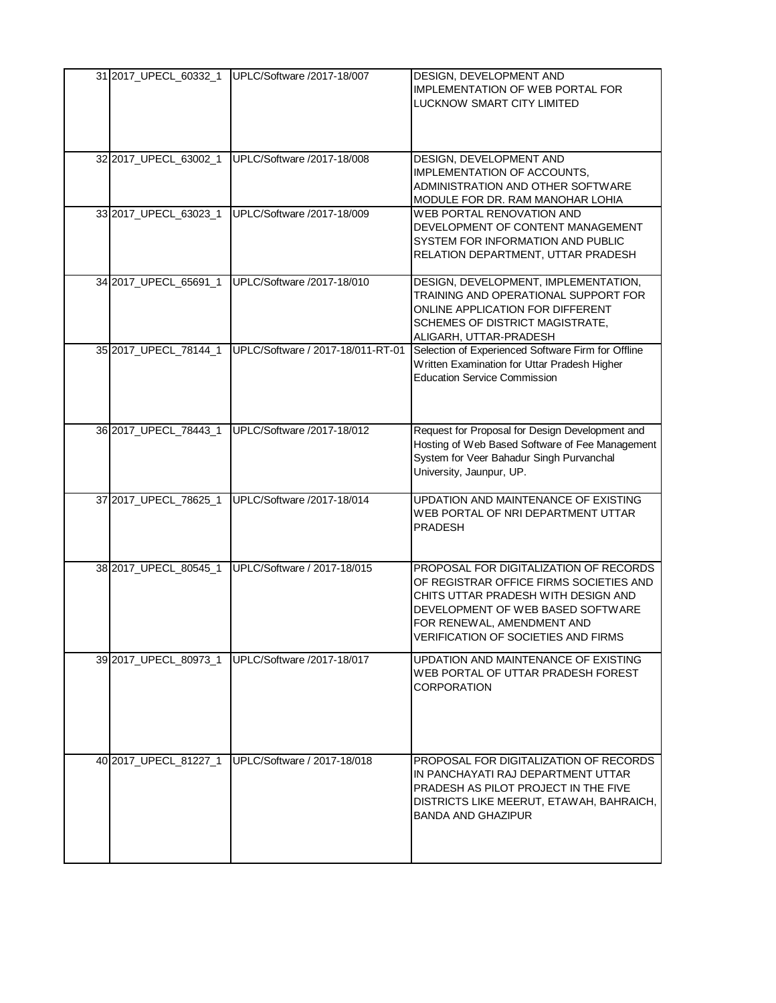|                       | 31 2017_UPECL_60332_1 UPLC/Software /2017-18/007 | DESIGN, DEVELOPMENT AND<br><b>IMPLEMENTATION OF WEB PORTAL FOR</b><br>LUCKNOW SMART CITY LIMITED                                                                                                                                          |
|-----------------------|--------------------------------------------------|-------------------------------------------------------------------------------------------------------------------------------------------------------------------------------------------------------------------------------------------|
| 32 2017_UPECL_63002_1 | UPLC/Software /2017-18/008                       | DESIGN, DEVELOPMENT AND<br>IMPLEMENTATION OF ACCOUNTS,<br>ADMINISTRATION AND OTHER SOFTWARE<br>MODULE FOR DR. RAM MANOHAR LOHIA                                                                                                           |
| 33 2017_UPECL_63023_1 | UPLC/Software /2017-18/009                       | WEB PORTAL RENOVATION AND<br>DEVELOPMENT OF CONTENT MANAGEMENT<br>SYSTEM FOR INFORMATION AND PUBLIC<br>RELATION DEPARTMENT, UTTAR PRADESH                                                                                                 |
| 34 2017_UPECL_65691_1 | UPLC/Software /2017-18/010                       | DESIGN, DEVELOPMENT, IMPLEMENTATION,<br>TRAINING AND OPERATIONAL SUPPORT FOR<br>ONLINE APPLICATION FOR DIFFERENT<br>SCHEMES OF DISTRICT MAGISTRATE,<br>ALIGARH, UTTAR-PRADESH                                                             |
| 35 2017_UPECL_78144_1 | UPLC/Software / 2017-18/011-RT-01                | Selection of Experienced Software Firm for Offline<br>Written Examination for Uttar Pradesh Higher<br><b>Education Service Commission</b>                                                                                                 |
| 36 2017 UPECL 78443 1 | UPLC/Software /2017-18/012                       | Request for Proposal for Design Development and<br>Hosting of Web Based Software of Fee Management<br>System for Veer Bahadur Singh Purvanchal<br>University, Jaunpur, UP.                                                                |
| 37 2017_UPECL_78625_1 | UPLC/Software /2017-18/014                       | UPDATION AND MAINTENANCE OF EXISTING<br>WEB PORTAL OF NRI DEPARTMENT UTTAR<br><b>PRADESH</b>                                                                                                                                              |
| 38 2017_UPECL_80545_1 | UPLC/Software / 2017-18/015                      | PROPOSAL FOR DIGITALIZATION OF RECORDS<br>OF REGISTRAR OFFICE FIRMS SOCIETIES AND<br>CHITS UTTAR PRADESH WITH DESIGN AND<br>DEVELOPMENT OF WEB BASED SOFTWARE<br>FOR RENEWAL, AMENDMENT AND<br><b>VERIFICATION OF SOCIETIES AND FIRMS</b> |
| 39 2017 UPECL 80973 1 | UPLC/Software /2017-18/017                       | UPDATION AND MAINTENANCE OF EXISTING<br>WEB PORTAL OF UTTAR PRADESH FOREST<br><b>CORPORATION</b>                                                                                                                                          |
| 40 2017 UPECL 81227 1 | UPLC/Software / 2017-18/018                      | PROPOSAL FOR DIGITALIZATION OF RECORDS<br>IN PANCHAYATI RAJ DEPARTMENT UTTAR<br>PRADESH AS PILOT PROJECT IN THE FIVE<br>DISTRICTS LIKE MEERUT, ETAWAH, BAHRAICH,<br><b>BANDA AND GHAZIPUR</b>                                             |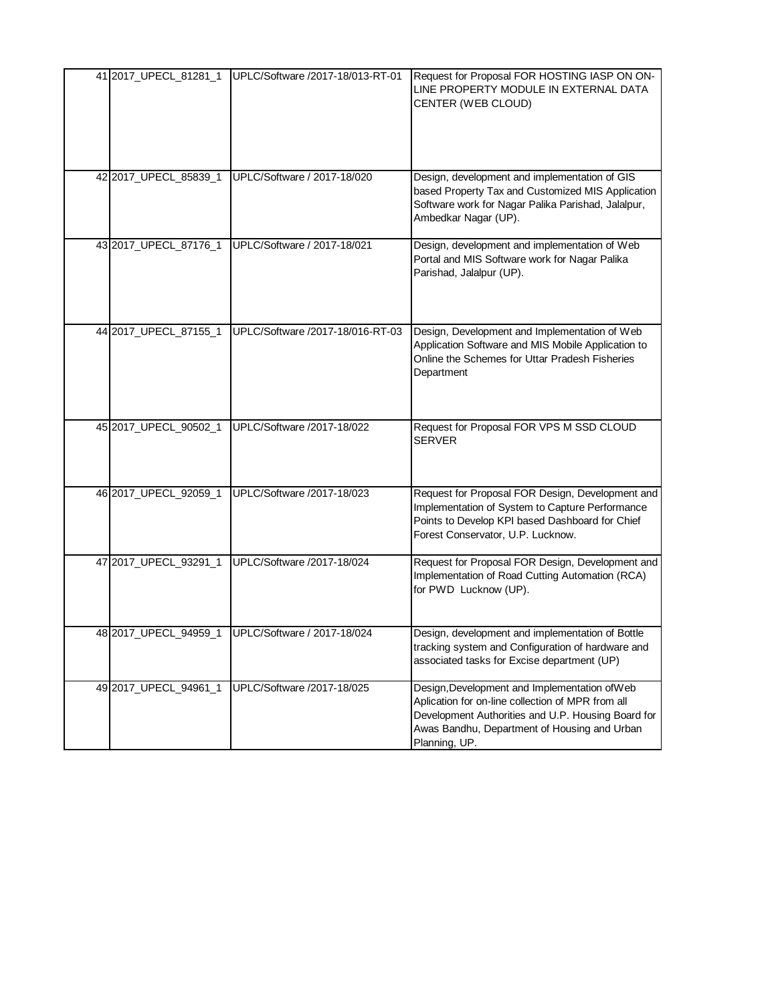| 41 2017_UPECL_81281_1 | UPLC/Software /2017-18/013-RT-01                  | Request for Proposal FOR HOSTING IASP ON ON-<br>LINE PROPERTY MODULE IN EXTERNAL DATA<br>CENTER (WEB CLOUD)                                                                                                               |
|-----------------------|---------------------------------------------------|---------------------------------------------------------------------------------------------------------------------------------------------------------------------------------------------------------------------------|
| 42 2017_UPECL_85839_1 | UPLC/Software / 2017-18/020                       | Design, development and implementation of GIS<br>based Property Tax and Customized MIS Application<br>Software work for Nagar Palika Parishad, Jalalpur,<br>Ambedkar Nagar (UP).                                          |
| 43 2017_UPECL_87176_1 | UPLC/Software / 2017-18/021                       | Design, development and implementation of Web<br>Portal and MIS Software work for Nagar Palika<br>Parishad, Jalalpur (UP).                                                                                                |
| 44 2017_UPECL_87155_1 | UPLC/Software /2017-18/016-RT-03                  | Design, Development and Implementation of Web<br>Application Software and MIS Mobile Application to<br>Online the Schemes for Uttar Pradesh Fisheries<br>Department                                                       |
| 45 2017_UPECL_90502_1 | UPLC/Software /2017-18/022                        | Request for Proposal FOR VPS M SSD CLOUD<br><b>SERVER</b>                                                                                                                                                                 |
| 46 2017_UPECL_92059_1 | UPLC/Software /2017-18/023                        | Request for Proposal FOR Design, Development and<br>Implementation of System to Capture Performance<br>Points to Develop KPI based Dashboard for Chief<br>Forest Conservator, U.P. Lucknow.                               |
| 47 2017_UPECL_93291_1 | UPLC/Software /2017-18/024                        | Request for Proposal FOR Design, Development and<br>Implementation of Road Cutting Automation (RCA)<br>for PWD Lucknow (UP).                                                                                              |
|                       | 48 2017_UPECL_94959_1 UPLC/Software / 2017-18/024 | Design, development and implementation of Bottle<br>tracking system and Configuration of hardware and<br>associated tasks for Excise department (UP)                                                                      |
| 49 2017_UPECL_94961_1 | UPLC/Software /2017-18/025                        | Design, Development and Implementation of Web<br>Aplication for on-line collection of MPR from all<br>Development Authorities and U.P. Housing Board for<br>Awas Bandhu, Department of Housing and Urban<br>Planning, UP. |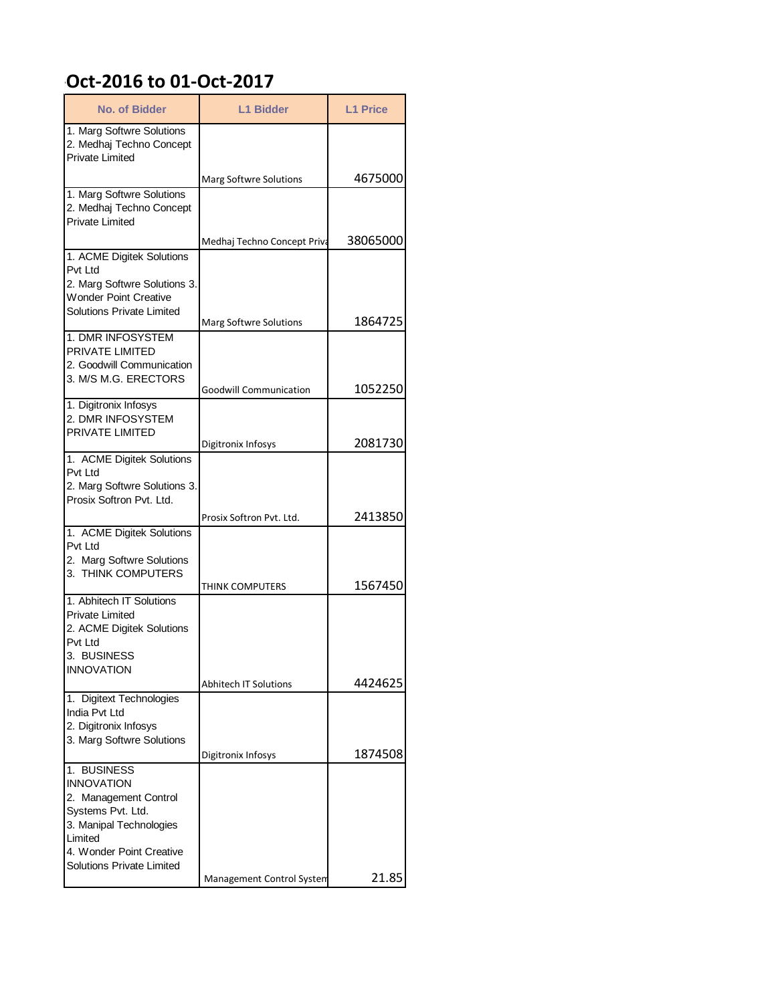## **Dct-2016 to 01-Oct-2017**

| <b>No. of Bidder</b>                                                                                                                                                  | <b>L1 Bidder</b>              | <b>L1 Price</b> |
|-----------------------------------------------------------------------------------------------------------------------------------------------------------------------|-------------------------------|-----------------|
| 1. Marg Softwre Solutions<br>2. Medhaj Techno Concept<br><b>Private Limited</b>                                                                                       |                               |                 |
|                                                                                                                                                                       | <b>Marg Softwre Solutions</b> | 4675000         |
| 1. Marg Softwre Solutions<br>2. Medhaj Techno Concept<br><b>Private Limited</b>                                                                                       |                               |                 |
| 1. ACME Digitek Solutions                                                                                                                                             | Medhaj Techno Concept Priva   | 38065000        |
| Pvt I td<br>2. Marg Softwre Solutions 3.<br><b>Wonder Point Creative</b><br><b>Solutions Private Limited</b>                                                          |                               |                 |
| 1. DMR INFOSYSTEM                                                                                                                                                     | Marg Softwre Solutions        | 1864725         |
| PRIVATE LIMITED<br>2. Goodwill Communication<br>3. M/S M.G. ERECTORS                                                                                                  |                               |                 |
| 1. Digitronix Infosys                                                                                                                                                 | <b>Goodwill Communication</b> | 1052250         |
| 2. DMR INFOSYSTEM<br>PRIVATE LIMITED                                                                                                                                  | Digitronix Infosys            | 2081730         |
| 1. ACME Digitek Solutions                                                                                                                                             |                               |                 |
| Pvt Ltd<br>2. Marg Softwre Solutions 3.<br>Prosix Softron Pvt. Ltd.                                                                                                   |                               |                 |
|                                                                                                                                                                       | Prosix Softron Pvt. Ltd.      | 2413850         |
| 1. ACME Digitek Solutions<br>Pvt Ltd<br>2. Marg Softwre Solutions<br>3. THINK COMPUTERS                                                                               |                               |                 |
|                                                                                                                                                                       | THINK COMPUTERS               | 1567450         |
| 1. Abhitech IT Solutions<br><b>Private Limited</b><br>2. ACME Digitek Solutions<br>Pvt Ltd<br>3. BUSINESS                                                             |                               |                 |
| <b>INNOVATION</b>                                                                                                                                                     | <b>Abhitech IT Solutions</b>  | 4424625         |
| 1. Digitext Technologies<br>India Pvt Ltd<br>2. Digitronix Infosys<br>3. Marg Softwre Solutions                                                                       |                               |                 |
| 1. BUSINESS                                                                                                                                                           | Digitronix Infosys            | 1874508         |
| <b>INNOVATION</b><br>2. Management Control<br>Systems Pvt. Ltd.<br>3. Manipal Technologies<br>Limited<br>4. Wonder Point Creative<br><b>Solutions Private Limited</b> |                               |                 |
|                                                                                                                                                                       | Management Control System     | 21.85           |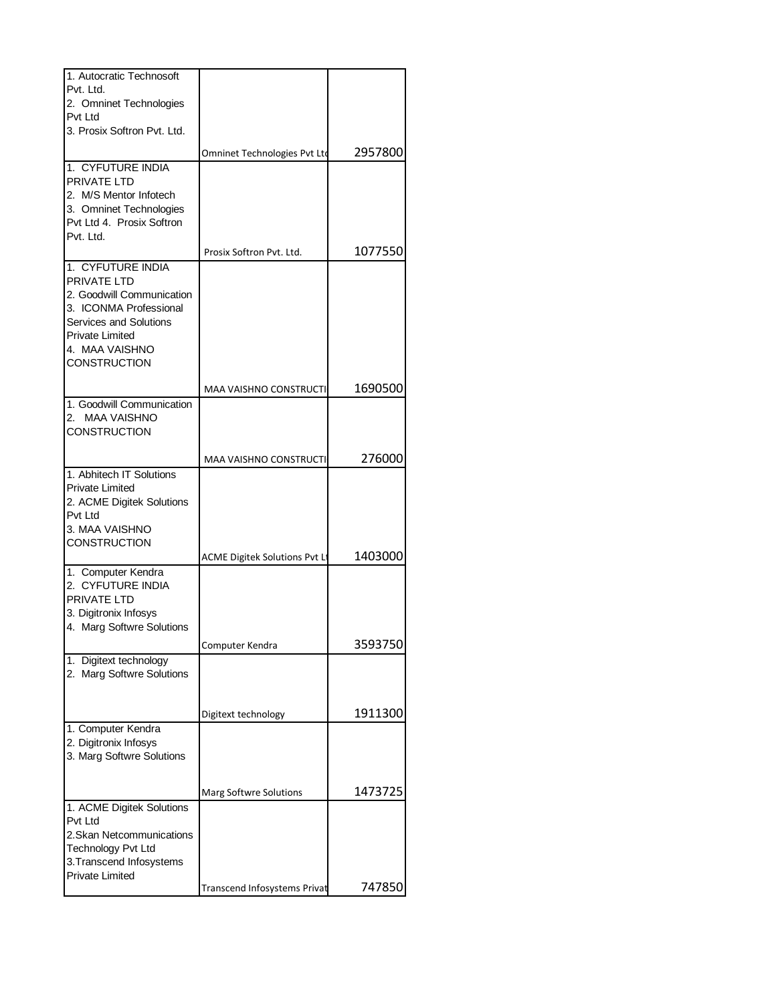| 1. Autocratic Technosoft    |                               |         |
|-----------------------------|-------------------------------|---------|
| Pvt. Ltd.                   |                               |         |
| 2. Omninet Technologies     |                               |         |
| Pvt Ltd                     |                               |         |
| 3. Prosix Softron Pvt. Ltd. |                               |         |
|                             |                               |         |
|                             | Omninet Technologies Pvt Ltd  | 2957800 |
| 1. CYFUTURE INDIA           |                               |         |
| PRIVATE LTD                 |                               |         |
| 2. M/S Mentor Infotech      |                               |         |
| 3. Omninet Technologies     |                               |         |
| Pvt Ltd 4. Prosix Softron   |                               |         |
| Pvt. Ltd.                   |                               |         |
|                             |                               |         |
|                             | Prosix Softron Pvt. Ltd.      | 1077550 |
| 1. CYFUTURE INDIA           |                               |         |
| <b>PRIVATE LTD</b>          |                               |         |
| 2. Goodwill Communication   |                               |         |
| 3. ICONMA Professional      |                               |         |
| Services and Solutions      |                               |         |
| Private Limited             |                               |         |
| 4. MAA VAISHNO              |                               |         |
| CONSTRUCTION                |                               |         |
|                             |                               |         |
|                             | <b>MAA VAISHNO CONSTRUCTI</b> | 1690500 |
| 1. Goodwill Communication   |                               |         |
| <b>MAA VAISHNO</b><br>2.    |                               |         |
| <b>CONSTRUCTION</b>         |                               |         |
|                             |                               |         |
|                             | MAA VAISHNO CONSTRUCTI        | 276000  |
| 1. Abhitech IT Solutions    |                               |         |
| <b>Private Limited</b>      |                               |         |
| 2. ACME Digitek Solutions   |                               |         |
| Pvt Ltd                     |                               |         |
| 3. MAA VAISHNO              |                               |         |
| CONSTRUCTION                |                               |         |
|                             |                               | 1403000 |
|                             | ACME Digitek Solutions Pvt Lt |         |
| 1. Computer Kendra          |                               |         |
| 2. CYFUTURE INDIA           |                               |         |
| <b>PRIVATE LTD</b>          |                               |         |
| 3. Digitronix Infosys       |                               |         |
| 4. Marg Softwre Solutions   |                               |         |
|                             | Computer Kendra               | 3593750 |
| 1. Digitext technology      |                               |         |
| 2. Marg Softwre Solutions   |                               |         |
|                             |                               |         |
|                             |                               |         |
|                             | Digitext technology           | 1911300 |
| 1. Computer Kendra          |                               |         |
| 2. Digitronix Infosys       |                               |         |
|                             |                               |         |
| 3. Marg Softwre Solutions   |                               |         |
|                             |                               |         |
|                             | <b>Marg Softwre Solutions</b> | 1473725 |
| 1. ACME Digitek Solutions   |                               |         |
| Pvt Ltd                     |                               |         |
| 2. Skan Netcommunications   |                               |         |
|                             |                               |         |
| <b>Technology Pvt Ltd</b>   |                               |         |
| 3. Transcend Infosystems    |                               |         |
| <b>Private Limited</b>      |                               |         |
|                             | Transcend Infosystems Privat  | 747850  |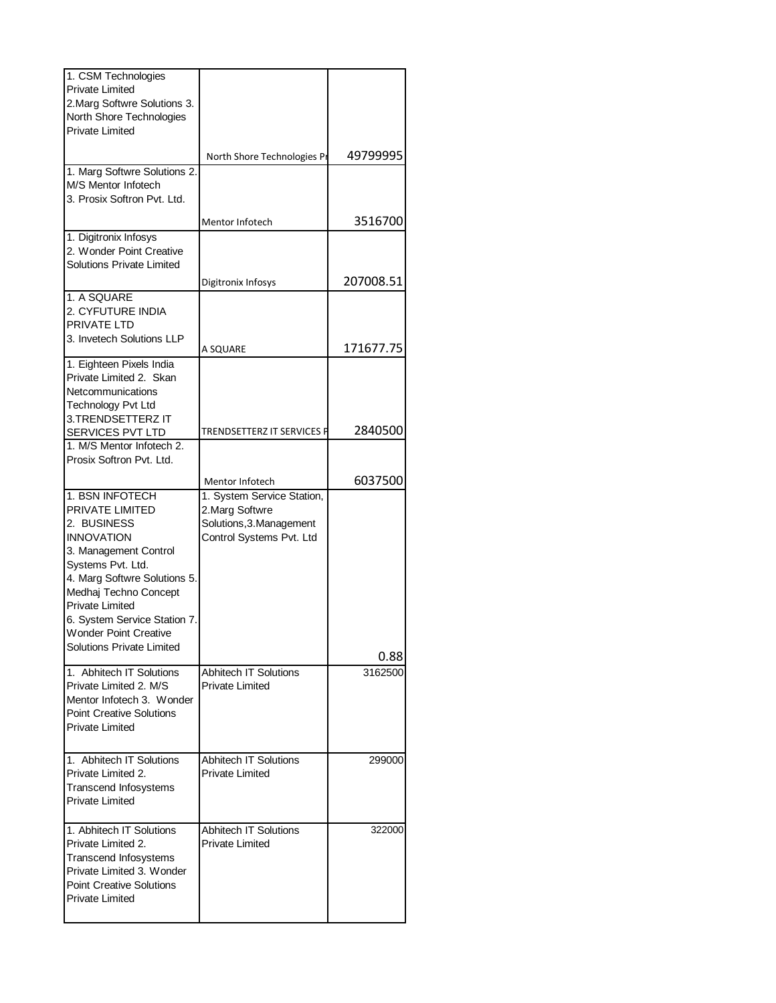| 1. CSM Technologies                                 |                              |           |
|-----------------------------------------------------|------------------------------|-----------|
| <b>Private Limited</b>                              |                              |           |
| 2. Marg Softwre Solutions 3.                        |                              |           |
| North Shore Technologies                            |                              |           |
| <b>Private Limited</b>                              |                              |           |
|                                                     |                              |           |
|                                                     | North Shore Technologies Pr  | 49799995  |
| 1. Marg Softwre Solutions 2.<br>M/S Mentor Infotech |                              |           |
| 3. Prosix Softron Pvt. Ltd.                         |                              |           |
|                                                     |                              |           |
|                                                     | Mentor Infotech              | 3516700   |
| 1. Digitronix Infosys                               |                              |           |
| 2. Wonder Point Creative                            |                              |           |
| <b>Solutions Private Limited</b>                    |                              |           |
|                                                     | Digitronix Infosys           | 207008.51 |
| 1. A SQUARE                                         |                              |           |
| 2. CYFUTURE INDIA                                   |                              |           |
| PRIVATE LTD                                         |                              |           |
| 3. Invetech Solutions LLP                           |                              |           |
|                                                     | A SQUARE                     | 171677.75 |
| 1. Eighteen Pixels India                            |                              |           |
| Private Limited 2. Skan                             |                              |           |
| Netcommunications                                   |                              |           |
| <b>Technology Pvt Ltd</b>                           |                              |           |
| 3. TRENDSETTERZ IT                                  |                              |           |
| SERVICES PVT LTD                                    | TRENDSETTERZ IT SERVICES P   | 2840500   |
| 1. M/S Mentor Infotech 2.                           |                              |           |
| Prosix Softron Pvt. Ltd.                            |                              |           |
|                                                     |                              | 6037500   |
|                                                     | Mentor Infotech              |           |
| 1. BSN INFOTECH                                     | 1. System Service Station,   |           |
| PRIVATE LIMITED                                     | 2. Marg Softwre              |           |
| 2. BUSINESS                                         | Solutions, 3. Management     |           |
| <b>INNOVATION</b>                                   | Control Systems Pvt. Ltd     |           |
| 3. Management Control                               |                              |           |
| Systems Pvt. Ltd.                                   |                              |           |
| 4. Marg Softwre Solutions 5.                        |                              |           |
| Medhaj Techno Concept                               |                              |           |
| <b>Private Limited</b>                              |                              |           |
| 6. System Service Station 7.                        |                              |           |
| <b>Wonder Point Creative</b>                        |                              |           |
| <b>Solutions Private Limited</b>                    |                              | 0.88      |
| 1. Abhitech IT Solutions                            | <b>Abhitech IT Solutions</b> | 3162500   |
| Private Limited 2. M/S                              | <b>Private Limited</b>       |           |
| Mentor Infotech 3. Wonder                           |                              |           |
| <b>Point Creative Solutions</b>                     |                              |           |
|                                                     |                              |           |
| <b>Private Limited</b>                              |                              |           |
|                                                     |                              |           |
| 1. Abhitech IT Solutions                            | <b>Abhitech IT Solutions</b> | 299000    |
| Private Limited 2.                                  | <b>Private Limited</b>       |           |
| <b>Transcend Infosystems</b>                        |                              |           |
| <b>Private Limited</b>                              |                              |           |
|                                                     |                              |           |
| 1. Abhitech IT Solutions                            | <b>Abhitech IT Solutions</b> | 322000    |
| Private Limited 2.                                  | <b>Private Limited</b>       |           |
| Transcend Infosystems                               |                              |           |
| Private Limited 3. Wonder                           |                              |           |
| <b>Point Creative Solutions</b>                     |                              |           |
| <b>Private Limited</b>                              |                              |           |
|                                                     |                              |           |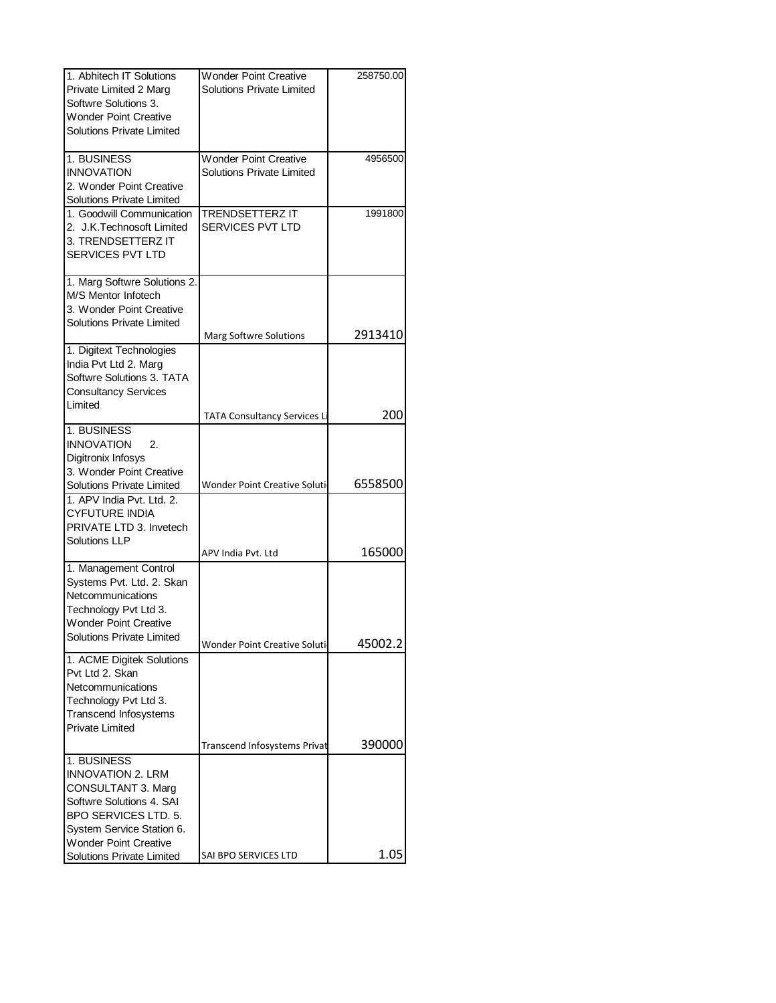| 1. Abhitech IT Solutions                                      | <b>Wonder Point Creative</b>        | 258750.00 |
|---------------------------------------------------------------|-------------------------------------|-----------|
| Private Limited 2 Marg                                        | Solutions Private Limited           |           |
| Softwre Solutions 3.                                          |                                     |           |
| <b>Wonder Point Creative</b>                                  |                                     |           |
| <b>Solutions Private Limited</b>                              |                                     |           |
| 1. BUSINESS                                                   | <b>Wonder Point Creative</b>        | 4956500   |
| <b>INNOVATION</b>                                             | Solutions Private Limited           |           |
| 2. Wonder Point Creative                                      |                                     |           |
| Solutions Private Limited                                     |                                     |           |
| 1. Goodwill Communication                                     | <b>TRENDSETTERZ IT</b>              | 1991800   |
| 2. J.K.Technosoft Limited<br>3. TRENDSETTERZ IT               | <b>SERVICES PVT LTD</b>             |           |
| SERVICES PVT LTD                                              |                                     |           |
|                                                               |                                     |           |
| 1. Marg Softwre Solutions 2.                                  |                                     |           |
| M/S Mentor Infotech                                           |                                     |           |
| 3. Wonder Point Creative                                      |                                     |           |
| Solutions Private Limited                                     | Marg Softwre Solutions              | 2913410   |
| 1. Digitext Technologies                                      |                                     |           |
| India Pvt Ltd 2. Marg                                         |                                     |           |
| Softwre Solutions 3. TATA                                     |                                     |           |
| <b>Consultancy Services</b>                                   |                                     |           |
| Limited                                                       | <b>TATA Consultancy Services L</b>  | 200       |
| 1. BUSINESS                                                   |                                     |           |
| <b>INNOVATION</b><br>2.                                       |                                     |           |
| Digitronix Infosys                                            |                                     |           |
| 3. Wonder Point Creative                                      |                                     |           |
| <b>Solutions Private Limited</b><br>1. APV India Pvt. Ltd. 2. | <b>Wonder Point Creative Soluti</b> | 6558500   |
| <b>CYFUTURE INDIA</b>                                         |                                     |           |
| PRIVATE LTD 3. Invetech                                       |                                     |           |
| <b>Solutions LLP</b>                                          |                                     |           |
|                                                               | APV India Pvt. Ltd                  | 165000    |
| 1. Management Control                                         |                                     |           |
| Systems Pvt. Ltd. 2. Skan                                     |                                     |           |
| Netcommunications<br>Technology Pvt Ltd 3.                    |                                     |           |
| <b>Wonder Point Creative</b>                                  |                                     |           |
| <b>Solutions Private Limited</b>                              |                                     |           |
|                                                               | Wonder Point Creative Soluti        | 45002.2   |
| 1. ACME Digitek Solutions<br>Pvt Ltd 2. Skan                  |                                     |           |
| Netcommunications                                             |                                     |           |
| Technology Pvt Ltd 3.                                         |                                     |           |
| Transcend Infosystems                                         |                                     |           |
| <b>Private Limited</b>                                        |                                     |           |
|                                                               | Transcend Infosystems Privat        | 390000    |
| 1. BUSINESS                                                   |                                     |           |
| <b>INNOVATION 2. LRM</b>                                      |                                     |           |
| CONSULTANT 3. Marg                                            |                                     |           |
| Softwre Solutions 4. SAI<br>BPO SERVICES LTD. 5.              |                                     |           |
| System Service Station 6.                                     |                                     |           |
| <b>Wonder Point Creative</b>                                  |                                     |           |
| Solutions Private Limited                                     | SAI BPO SERVICES LTD                | 1.05      |